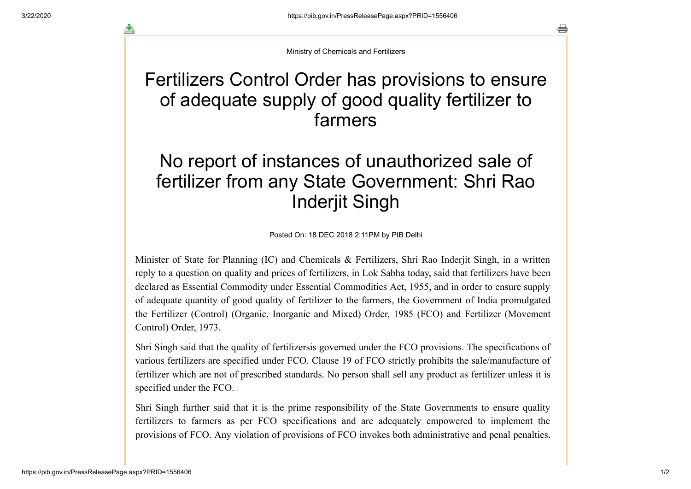┻

Ministry of Chemicals and Fertilizers

## Fertilizers Control Order has provisions to ensure of adequate supply of good quality fertilizer to farmers

## No report of instances of unauthorized sale of fertilizer from any State Government: Shri Rao Inderjit Singh

Posted On: 18 DEC 2018 2:11PM by PIB Delhi

Minister of State for Planning (IC) and Chemicals & Fertilizers, Shri Rao Inderjit Singh, in a written reply to a question on quality and prices of fertilizers, in Lok Sabha today, said that fertilizers have been declared as Essential Commodity under Essential Commodities Act, 1955, and in order to ensure supply of adequate quantity of good quality of fertilizer to the farmers, the Government of India promulgated the Fertilizer (Control) (Organic, Inorganic and Mixed) Order, 1985 (FCO) and Fertilizer (Movement Control) Order, 1973.

Shri Singh said that the quality of fertilizersis governed under the FCO provisions. The specifications of various fertilizers are specified under FCO. Clause 19 of FCO strictly prohibits the sale/manufacture of fertilizer which are not of prescribed standards. No person shall sell any product as fertilizer unless it is specified under the FCO.

Shri Singh further said that it is the prime responsibility of the State Governments to ensure quality fertilizers to farmers as per FCO specifications and are adequately empowered to implement the provisions of FCO. Any violation of provisions of FCO invokes both administrative and penal penalties.